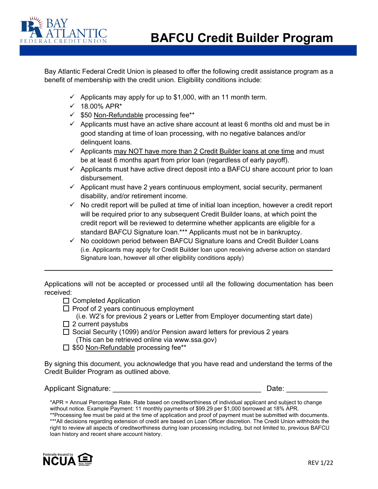

Bay Atlantic Federal Credit Union is pleased to offer the following credit assistance program as a benefit of membership with the credit union. Eligibility conditions include:

- $\checkmark$  Applicants may apply for up to \$1,000, with an 11 month term.
- $\times$  18.00% APR\*
- $\checkmark$  \$50 Non-Refundable processing fee\*\*
- $\checkmark$  Applicants must have an active share account at least 6 months old and must be in good standing at time of loan processing, with no negative balances and/or delinquent loans.
- $\checkmark$  Applicants may NOT have more than 2 Credit Builder loans at one time and must be at least 6 months apart from prior loan (regardless of early payoff).
- $\checkmark$  Applicants must have active direct deposit into a BAFCU share account prior to loan disbursement.
- $\checkmark$  Applicant must have 2 years continuous employment, social security, permanent disability, and/or retirement income.
- $\checkmark$  No credit report will be pulled at time of initial loan inception, however a credit report will be required prior to any subsequent Credit Builder loans, at which point the credit report will be reviewed to determine whether applicants are eligible for a standard BAFCU Signature loan.\*\*\* Applicants must not be in bankruptcy.
- $\checkmark$  No cooldown period between BAFCU Signature loans and Credit Builder Loans (i.e. Applicants may apply for Credit Builder loan upon receiving adverse action on standard Signature loan, however all other eligibility conditions apply)

Applications will not be accepted or processed until all the following documentation has been received:

**\_\_\_\_\_\_\_\_\_\_\_\_\_\_\_\_\_\_\_\_\_\_\_\_\_\_\_\_\_\_\_\_\_\_\_\_\_\_\_\_\_\_\_\_\_\_\_\_\_\_\_\_\_\_\_\_\_\_\_\_\_\_\_\_\_\_\_\_\_\_**

 $\Box$  Completed Application

 $\Box$  Proof of 2 years continuous employment

- (i.e. W2's for previous 2 years or Letter from Employer documenting start date)
- $\Box$  2 current paystubs
- $\Box$  Social Security (1099) and/or Pension award letters for previous 2 years (This can be retrieved online via www.ssa.gov)
- $\Box$  \$50 Non-Refundable processing fee\*\*

By signing this document, you acknowledge that you have read and understand the terms of the Credit Builder Program as outlined above.

## Applicant Signature: \_\_\_\_\_\_\_\_\_\_\_\_\_\_\_\_\_\_\_\_\_\_\_\_\_\_\_\_\_\_\_\_\_\_\_\_ Date: \_\_\_\_\_\_\_\_\_\_

\*APR = Annual Percentage Rate. Rate based on creditworthiness of individual applicant and subject to change without notice. Example Payment: 11 monthly payments of \$99.29 per \$1,000 borrowed at 18% APR. \*\*Processing fee must be paid at the time of application and proof of payment must be submitted with documents. \*\*\*All decisions regarding extension of credit are based on Loan Officer discretion. The Credit Union withholds the right to review all aspects of creditworthiness during loan processing including, but not limited to, previous BAFCU loan history and recent share account history.

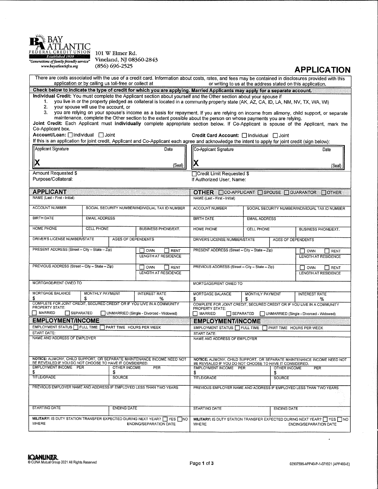

101 W Elmer Rd. Vineland, NJ 08360-2843<br>(856) 696-2525

## **APPLICATION**

| application or by calling us toll-free or collect at                                                                               | There are costs associated with the use of a credit card. Information about costs, rates, and fees may be contained in disclosures provided with this                                                                                                                                                                                                                                                                                                                                                                                                                                                                                                                   | or writing to us at the address stated on this application.                                                                 |                                                                                                             |                                                                                                                                    |                                                 |                          |                                                                                                          |  |
|------------------------------------------------------------------------------------------------------------------------------------|-------------------------------------------------------------------------------------------------------------------------------------------------------------------------------------------------------------------------------------------------------------------------------------------------------------------------------------------------------------------------------------------------------------------------------------------------------------------------------------------------------------------------------------------------------------------------------------------------------------------------------------------------------------------------|-----------------------------------------------------------------------------------------------------------------------------|-------------------------------------------------------------------------------------------------------------|------------------------------------------------------------------------------------------------------------------------------------|-------------------------------------------------|--------------------------|----------------------------------------------------------------------------------------------------------|--|
|                                                                                                                                    |                                                                                                                                                                                                                                                                                                                                                                                                                                                                                                                                                                                                                                                                         | Check below to indicate the type of credit for which you are applying. Married Applicants may apply for a separate account. |                                                                                                             |                                                                                                                                    |                                                 |                          |                                                                                                          |  |
| 1.<br>your spouse will use the account, or<br>2.<br>3.<br>Co-Applicant box.                                                        | Individual Credit: You must complete the Applicant section about yourself and the Other section about your spouse if<br>you live in or the property pledged as collateral is located in a community property state (AK, AZ, CA, ID, LA, NM, NV, TX, WA, WI)<br>you are relying on your spouse's income as a basis for repayment. If you are relying on income from alimony, child support, or separate<br>maintenance, complete the Other section to the extent possible about the person on whose payments you are relying.<br>Joint Credit: Each Applicant must individually complete appropriate section below. If Co-Applicant is spouse of the Applicant, mark the |                                                                                                                             |                                                                                                             |                                                                                                                                    |                                                 |                          |                                                                                                          |  |
| Account/Loan:   Individual   Joint                                                                                                 | If this is an application for joint credit, Applicant and Co-Applicant each agree and acknowledge the intent to apply for joint credit (sign below):                                                                                                                                                                                                                                                                                                                                                                                                                                                                                                                    | Credit Card Account: <i>□</i> Individual □ Joint                                                                            |                                                                                                             |                                                                                                                                    |                                                 |                          |                                                                                                          |  |
| Applicant Signature                                                                                                                |                                                                                                                                                                                                                                                                                                                                                                                                                                                                                                                                                                                                                                                                         |                                                                                                                             | Date                                                                                                        | Co-Applicant Signature                                                                                                             |                                                 |                          | Date                                                                                                     |  |
| X                                                                                                                                  |                                                                                                                                                                                                                                                                                                                                                                                                                                                                                                                                                                                                                                                                         |                                                                                                                             | (Seal)                                                                                                      | IХ                                                                                                                                 |                                                 |                          | (Seal)                                                                                                   |  |
| Amount Requested \$<br>Purpose/Collateral:                                                                                         |                                                                                                                                                                                                                                                                                                                                                                                                                                                                                                                                                                                                                                                                         |                                                                                                                             |                                                                                                             | Credit Limit Requested \$<br>If Authorized User, Name:                                                                             |                                                 |                          |                                                                                                          |  |
| <b>APPLICANT</b>                                                                                                                   |                                                                                                                                                                                                                                                                                                                                                                                                                                                                                                                                                                                                                                                                         |                                                                                                                             |                                                                                                             | OTHER CO-APPLICANT CSPOUSE COUARANTOR                                                                                              |                                                 |                          | <b>MOTHER</b>                                                                                            |  |
| NAME (Last - First - Initial)                                                                                                      |                                                                                                                                                                                                                                                                                                                                                                                                                                                                                                                                                                                                                                                                         |                                                                                                                             |                                                                                                             | NAME (Last - First - Initial)                                                                                                      |                                                 |                          |                                                                                                          |  |
| <b>ACCOUNT NUMBER</b>                                                                                                              |                                                                                                                                                                                                                                                                                                                                                                                                                                                                                                                                                                                                                                                                         |                                                                                                                             | SOCIAL SECURITY NUMBER/INDIVIDUAL TAX ID NUMBER                                                             | <b>ACCOUNT NUMBER</b>                                                                                                              | SOCIAL SECURITY NUMBER/INDIVIDUAL TAX ID NUMBER |                          |                                                                                                          |  |
| <b>BIRTH DATE</b>                                                                                                                  | <b>EMAIL ADDRESS</b>                                                                                                                                                                                                                                                                                                                                                                                                                                                                                                                                                                                                                                                    |                                                                                                                             |                                                                                                             | <b>BIRTH DATE</b>                                                                                                                  |                                                 | <b>EMAIL ADDRESS</b>     |                                                                                                          |  |
| HOME PHONE                                                                                                                         | CELL PHONE                                                                                                                                                                                                                                                                                                                                                                                                                                                                                                                                                                                                                                                              |                                                                                                                             | <b>BUSINESS PHONE/EXT.</b>                                                                                  | HOME PHONE<br><b>CELL PHONE</b>                                                                                                    |                                                 |                          | BUSINESS PHONE/EXT.                                                                                      |  |
| DRIVER'S LICENSE NUMBER/STATE<br><b>AGES OF DEPENDENTS</b>                                                                         |                                                                                                                                                                                                                                                                                                                                                                                                                                                                                                                                                                                                                                                                         |                                                                                                                             | DRIVER'S LICENSE NUMBER/STATE<br>AGES OF DEPENDENTS                                                         |                                                                                                                                    |                                                 |                          |                                                                                                          |  |
| PRESENT ADDRESS (Street - City - State - Zip)<br>OWN<br>RENT<br>LENGTH AT RESIDENCE                                                |                                                                                                                                                                                                                                                                                                                                                                                                                                                                                                                                                                                                                                                                         |                                                                                                                             | PRESENT ADDRESS (Street - City - State - Zip)<br>OWN<br>RENT<br>LENGTH AT RESIDENCE                         |                                                                                                                                    |                                                 |                          |                                                                                                          |  |
| PREVIOUS ADDRESS (Street - City - State - Zip)<br>OWN<br><b>RENT</b><br>LENGTH AT RESIDENCE                                        |                                                                                                                                                                                                                                                                                                                                                                                                                                                                                                                                                                                                                                                                         |                                                                                                                             | PREVIOUS ADDRESS (Street - City -- State -- Zip)<br><b>OWN</b><br>$\Box$ RENT<br><b>LENGTH AT RESIDENCE</b> |                                                                                                                                    |                                                 |                          |                                                                                                          |  |
| MORTGAGE/RENT OWED TO                                                                                                              |                                                                                                                                                                                                                                                                                                                                                                                                                                                                                                                                                                                                                                                                         |                                                                                                                             |                                                                                                             | MORTGAGE/RENT OWED TO                                                                                                              |                                                 |                          |                                                                                                          |  |
| MORTGAGE BALANCE<br>S                                                                                                              | MONTHLY PAYMENT<br>S                                                                                                                                                                                                                                                                                                                                                                                                                                                                                                                                                                                                                                                    |                                                                                                                             | <b>INTEREST RATE</b><br>℅                                                                                   | MORTGAGE BALANCE                                                                                                                   | MONTHLY PAYMENT<br><b>INTEREST RATE</b><br>℅    |                          |                                                                                                          |  |
| COMPLETE FOR JOINT CREDIT, SECURED CREDIT OR IF YOU LIVE IN A COMMUNITY<br><b>PROPERTY STATE:</b>                                  |                                                                                                                                                                                                                                                                                                                                                                                                                                                                                                                                                                                                                                                                         |                                                                                                                             |                                                                                                             | S<br>COMPLETE FOR JOINT CREDIT, SECURED CREDIT OR IF YOU LIVE IN A COMMUNITY<br><b>PROPERTY STATE:</b>                             |                                                 |                          |                                                                                                          |  |
| MARRIED<br>SEPARATED                                                                                                               |                                                                                                                                                                                                                                                                                                                                                                                                                                                                                                                                                                                                                                                                         |                                                                                                                             | UNMARRIED (Single - Divorced - Widowed)                                                                     | $\Box$ MARRIED<br>SEPARATED                                                                                                        |                                                 |                          | UNMARRIED (Single - Divorced - Widowed)                                                                  |  |
| <b>EMPLOYMENT/INCOME</b>                                                                                                           |                                                                                                                                                                                                                                                                                                                                                                                                                                                                                                                                                                                                                                                                         |                                                                                                                             |                                                                                                             | <b>EMPLOYMENT/INCOME</b>                                                                                                           |                                                 |                          |                                                                                                          |  |
| EMPLOYMENT STATUS TIFULL TIME<br>PART TIME HOURS PER WEEK<br>START DATE:                                                           |                                                                                                                                                                                                                                                                                                                                                                                                                                                                                                                                                                                                                                                                         |                                                                                                                             | EMPLOYMENT STATUS THULL TIME                                                                                |                                                                                                                                    |                                                 | PART TIME HOURS PER WEEK |                                                                                                          |  |
| NAME AND ADDRESS OF EMPLOYER                                                                                                       |                                                                                                                                                                                                                                                                                                                                                                                                                                                                                                                                                                                                                                                                         |                                                                                                                             | START DATE:<br>NAME AND ADDRESS OF EMPLOYER                                                                 |                                                                                                                                    |                                                 |                          |                                                                                                          |  |
| NOTICE: ALIMONY, CHILD SUPPORT, OR SEPARATE MAINTENANCE INCOME NEED NOT<br>BE REVEALED IF YOU DO NOT CHOOSE TO HAVE IT CONSIDERED. |                                                                                                                                                                                                                                                                                                                                                                                                                                                                                                                                                                                                                                                                         |                                                                                                                             |                                                                                                             | NOTICE: ALIMONY, CHILD SUPPORT, OR SEPARATE MAINTENANCE INCOME NEED NOT<br>BE REVEALED IF YOU DO NOT CHOOSE TO HAVE IT CONSIDERED. |                                                 |                          |                                                                                                          |  |
| <b>EMPLOYMENT INCOME PER</b><br><b>OTHER INCOME</b><br>PER<br>S<br>S                                                               |                                                                                                                                                                                                                                                                                                                                                                                                                                                                                                                                                                                                                                                                         |                                                                                                                             | EMPLOYMENT INCOME PER<br><b>OTHER INCOME</b><br>PER<br>S.<br>S                                              |                                                                                                                                    |                                                 |                          |                                                                                                          |  |
| <b>TITLE/GRADE</b><br><b>SOURCE</b>                                                                                                |                                                                                                                                                                                                                                                                                                                                                                                                                                                                                                                                                                                                                                                                         |                                                                                                                             | <b>TITLE/GRADE</b><br>SOURCE                                                                                |                                                                                                                                    |                                                 |                          |                                                                                                          |  |
| PREVIOUS EMPLOYER NAME AND ADDRESS IF EMPLOYED LESS THAN TWO YEARS                                                                 |                                                                                                                                                                                                                                                                                                                                                                                                                                                                                                                                                                                                                                                                         |                                                                                                                             | PREVIOUS EMPLOYER NAME AND ADDRESS IF EMPLOYED LESS THAN TWO YEARS                                          |                                                                                                                                    |                                                 |                          |                                                                                                          |  |
| <b>STARTING DATE</b>                                                                                                               |                                                                                                                                                                                                                                                                                                                                                                                                                                                                                                                                                                                                                                                                         | <b>ENDING DATE</b>                                                                                                          |                                                                                                             | <b>STARTING DATE</b>                                                                                                               |                                                 | <b>ENDING DATE</b>       |                                                                                                          |  |
| <b>WHERE</b>                                                                                                                       |                                                                                                                                                                                                                                                                                                                                                                                                                                                                                                                                                                                                                                                                         |                                                                                                                             | MILITARY: IS DUTY STATION TRANSFER EXPECTED DURING NEXT YEAR? [7] YES NO<br><b>ENDING/SEPARATION DATE</b>   | <b>WHERE</b>                                                                                                                       |                                                 |                          | MILITARY: IS DUTY STATION TRANSFER EXPECTED DURING NEXT YEAR? TYES TINO<br><b>ENDING/SEPARATION DATE</b> |  |

 $\cdot$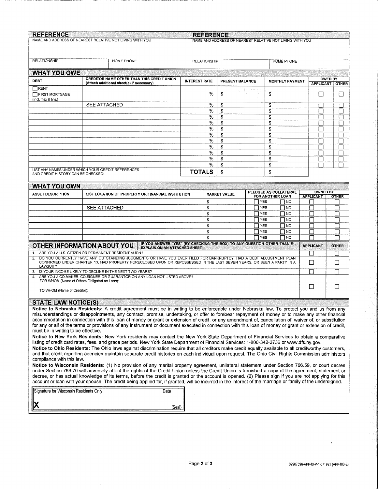| <b>REFERENCE</b><br><b>REFERENCE</b><br>NAME AND ADDRESS OF NEAREST RELATIVE NOT LIVING WITH YOU<br>NAME AND ADDRESS OF NEAREST RELATIVE NOT LIVING WITH YOU                                                                                                                                                                                                                                                                                                                                                                                                                                                                                                                                                                                                                                                                                                                                                                                                                                                                                                                                                                                                                                                                                                      |                                                                                                                |                      |        |                               |  |                   |                  |                        |                                     |                |              |
|-------------------------------------------------------------------------------------------------------------------------------------------------------------------------------------------------------------------------------------------------------------------------------------------------------------------------------------------------------------------------------------------------------------------------------------------------------------------------------------------------------------------------------------------------------------------------------------------------------------------------------------------------------------------------------------------------------------------------------------------------------------------------------------------------------------------------------------------------------------------------------------------------------------------------------------------------------------------------------------------------------------------------------------------------------------------------------------------------------------------------------------------------------------------------------------------------------------------------------------------------------------------|----------------------------------------------------------------------------------------------------------------|----------------------|--------|-------------------------------|--|-------------------|------------------|------------------------|-------------------------------------|----------------|--------------|
|                                                                                                                                                                                                                                                                                                                                                                                                                                                                                                                                                                                                                                                                                                                                                                                                                                                                                                                                                                                                                                                                                                                                                                                                                                                                   |                                                                                                                |                      |        |                               |  |                   |                  |                        |                                     |                |              |
| <b>RELATIONSHIP</b>                                                                                                                                                                                                                                                                                                                                                                                                                                                                                                                                                                                                                                                                                                                                                                                                                                                                                                                                                                                                                                                                                                                                                                                                                                               | HOME PHONE                                                                                                     | <b>RELATIONSHIP</b>  |        |                               |  |                   |                  | <b>HOME PHONE</b>      |                                     |                |              |
| <b>WHAT YOU OWE</b>                                                                                                                                                                                                                                                                                                                                                                                                                                                                                                                                                                                                                                                                                                                                                                                                                                                                                                                                                                                                                                                                                                                                                                                                                                               |                                                                                                                |                      |        |                               |  |                   |                  |                        |                                     |                |              |
| DEBT                                                                                                                                                                                                                                                                                                                                                                                                                                                                                                                                                                                                                                                                                                                                                                                                                                                                                                                                                                                                                                                                                                                                                                                                                                                              | <b>CREDITOR NAME OTHER THAN THIS CREDIT UNION</b><br>(Attach additional sheet(s) if necessary)                 | <b>INTEREST RATE</b> |        | PRESENT BALANCE               |  |                   |                  | <b>MONTHLY PAYMENT</b> | <b>APPLICANT</b>                    | <b>OWED BY</b> | <b>OTHER</b> |
| RENT<br>FIRST MORTGAGE<br>(Incl. Tax & Ins.)                                                                                                                                                                                                                                                                                                                                                                                                                                                                                                                                                                                                                                                                                                                                                                                                                                                                                                                                                                                                                                                                                                                                                                                                                      | 아이들부터 점프는<br>%<br>\$<br>\$                                                                                     |                      |        |                               |  |                   | $\mathsf{I}$     |                        | ப                                   |                |              |
|                                                                                                                                                                                                                                                                                                                                                                                                                                                                                                                                                                                                                                                                                                                                                                                                                                                                                                                                                                                                                                                                                                                                                                                                                                                                   | <b>SEE ATTACHED</b>                                                                                            |                      | %      | \$                            |  |                   | \$               |                        |                                     |                |              |
|                                                                                                                                                                                                                                                                                                                                                                                                                                                                                                                                                                                                                                                                                                                                                                                                                                                                                                                                                                                                                                                                                                                                                                                                                                                                   | %<br>\$<br>\$<br>\$<br>%<br>\$                                                                                 |                      |        |                               |  |                   |                  |                        |                                     |                |              |
|                                                                                                                                                                                                                                                                                                                                                                                                                                                                                                                                                                                                                                                                                                                                                                                                                                                                                                                                                                                                                                                                                                                                                                                                                                                                   |                                                                                                                |                      | %      | \$                            |  |                   | \$               |                        |                                     |                |              |
|                                                                                                                                                                                                                                                                                                                                                                                                                                                                                                                                                                                                                                                                                                                                                                                                                                                                                                                                                                                                                                                                                                                                                                                                                                                                   |                                                                                                                |                      | %      | \$                            |  |                   | \$               |                        |                                     |                |              |
|                                                                                                                                                                                                                                                                                                                                                                                                                                                                                                                                                                                                                                                                                                                                                                                                                                                                                                                                                                                                                                                                                                                                                                                                                                                                   |                                                                                                                |                      | %<br>% | \$<br>$\overline{\mathbf{3}}$ |  |                   | \$<br>\$         |                        |                                     |                | n            |
|                                                                                                                                                                                                                                                                                                                                                                                                                                                                                                                                                                                                                                                                                                                                                                                                                                                                                                                                                                                                                                                                                                                                                                                                                                                                   |                                                                                                                |                      | %      | \$                            |  |                   | \$               |                        |                                     |                |              |
|                                                                                                                                                                                                                                                                                                                                                                                                                                                                                                                                                                                                                                                                                                                                                                                                                                                                                                                                                                                                                                                                                                                                                                                                                                                                   |                                                                                                                |                      | %      | \$                            |  |                   | \$               |                        |                                     |                |              |
|                                                                                                                                                                                                                                                                                                                                                                                                                                                                                                                                                                                                                                                                                                                                                                                                                                                                                                                                                                                                                                                                                                                                                                                                                                                                   |                                                                                                                |                      | %      | \$                            |  |                   | \$               |                        |                                     |                |              |
|                                                                                                                                                                                                                                                                                                                                                                                                                                                                                                                                                                                                                                                                                                                                                                                                                                                                                                                                                                                                                                                                                                                                                                                                                                                                   | LIST ANY NAMES UNDER WHICH YOUR CREDIT REFERENCES                                                              | <b>TOTALS</b>        | %      | S<br>\$                       |  |                   | \$<br>\$         |                        |                                     |                |              |
| AND CREDIT HISTORY CAN BE CHECKED:                                                                                                                                                                                                                                                                                                                                                                                                                                                                                                                                                                                                                                                                                                                                                                                                                                                                                                                                                                                                                                                                                                                                                                                                                                |                                                                                                                |                      |        |                               |  |                   |                  |                        |                                     |                |              |
| <b>WHAT YOU OWN</b>                                                                                                                                                                                                                                                                                                                                                                                                                                                                                                                                                                                                                                                                                                                                                                                                                                                                                                                                                                                                                                                                                                                                                                                                                                               |                                                                                                                |                      |        |                               |  |                   |                  |                        |                                     |                |              |
| <b>ASSET DESCRIPTION</b>                                                                                                                                                                                                                                                                                                                                                                                                                                                                                                                                                                                                                                                                                                                                                                                                                                                                                                                                                                                                                                                                                                                                                                                                                                          | LIST LOCATION OF PROPERTY OR FINANCIAL INSTITUTION                                                             |                      |        | <b>MARKET VALUE</b>           |  |                   | FOR ANOTHER LOAN | PLEDGED AS COLLATERAL  | <b>OWNED BY</b><br><b>APPLICANT</b> |                | <b>OTHER</b> |
|                                                                                                                                                                                                                                                                                                                                                                                                                                                                                                                                                                                                                                                                                                                                                                                                                                                                                                                                                                                                                                                                                                                                                                                                                                                                   |                                                                                                                | \$                   |        |                               |  | <b>YES</b>        |                  | <b>NO</b>              |                                     |                |              |
|                                                                                                                                                                                                                                                                                                                                                                                                                                                                                                                                                                                                                                                                                                                                                                                                                                                                                                                                                                                                                                                                                                                                                                                                                                                                   | <b>SEE ATTACHED</b>                                                                                            | \$<br>\$             |        |                               |  | YES<br><b>YES</b> |                  | NO<br>  NO             |                                     |                |              |
|                                                                                                                                                                                                                                                                                                                                                                                                                                                                                                                                                                                                                                                                                                                                                                                                                                                                                                                                                                                                                                                                                                                                                                                                                                                                   |                                                                                                                | \$                   |        |                               |  | <b>YES</b>        |                  | l NO                   |                                     |                |              |
|                                                                                                                                                                                                                                                                                                                                                                                                                                                                                                                                                                                                                                                                                                                                                                                                                                                                                                                                                                                                                                                                                                                                                                                                                                                                   |                                                                                                                | \$                   |        |                               |  | <b>YES</b>        |                  | NO                     |                                     |                |              |
|                                                                                                                                                                                                                                                                                                                                                                                                                                                                                                                                                                                                                                                                                                                                                                                                                                                                                                                                                                                                                                                                                                                                                                                                                                                                   |                                                                                                                | \$                   |        |                               |  | YES               |                  | NO                     |                                     |                |              |
|                                                                                                                                                                                                                                                                                                                                                                                                                                                                                                                                                                                                                                                                                                                                                                                                                                                                                                                                                                                                                                                                                                                                                                                                                                                                   | IF YOU ANSWER "YES" (BY CHECKING THE BOX) TO ANY QUESTION OTHER THAN #1,<br><b>OTHER INFORMATION ABOUT YOU</b> |                      |        |                               |  | <b>YES</b>        |                  | 7 NO                   |                                     |                |              |
|                                                                                                                                                                                                                                                                                                                                                                                                                                                                                                                                                                                                                                                                                                                                                                                                                                                                                                                                                                                                                                                                                                                                                                                                                                                                   | <b>EXPLAIN ON AN ATTACHED SHEET</b>                                                                            |                      |        |                               |  |                   |                  |                        | <b>APPLICANT</b>                    |                | <b>OTHER</b> |
| 1. ARE YOU A U.S. CITIZEN OR PERMANENT RESIDENT ALIEN?<br>2. DO YOU CURRENTLY HAVE ANY OUTSTANDING JUDGMENTS OR HAVE YOU EVER FILED FOR BANKRUPTCY, HAD A DEBT ADJUSTMENT PLAN<br>CONFIRMED UNDER CHAPTER 13, HAD PROPERTY FORECLOSED UPON OR REPOSSESSED IN THE LAST SEVEN YEARS, OR BEEN A PARTY IN A<br>U<br>⊔<br>LAWSUIT?                                                                                                                                                                                                                                                                                                                                                                                                                                                                                                                                                                                                                                                                                                                                                                                                                                                                                                                                     |                                                                                                                |                      |        |                               |  |                   |                  |                        |                                     |                |              |
| 3. IS YOUR INCOME LIKELY TO DECLINE IN THE NEXT TWO YEARS?                                                                                                                                                                                                                                                                                                                                                                                                                                                                                                                                                                                                                                                                                                                                                                                                                                                                                                                                                                                                                                                                                                                                                                                                        |                                                                                                                |                      |        |                               |  |                   |                  |                        |                                     |                |              |
| ARE YOU A CO-MAKER, CO-SIGNER OR GUARANTOR ON ANY LOAN NOT LISTED ABOVE?<br>FOR WHOM (Name of Others Obligated on Loan):                                                                                                                                                                                                                                                                                                                                                                                                                                                                                                                                                                                                                                                                                                                                                                                                                                                                                                                                                                                                                                                                                                                                          |                                                                                                                |                      |        |                               |  |                   |                  |                        |                                     |                |              |
| П<br>TO WHOM (Name of Creditor):                                                                                                                                                                                                                                                                                                                                                                                                                                                                                                                                                                                                                                                                                                                                                                                                                                                                                                                                                                                                                                                                                                                                                                                                                                  |                                                                                                                |                      |        |                               |  |                   |                  |                        |                                     |                |              |
| <b>STATE LAW NOTICE(S)</b>                                                                                                                                                                                                                                                                                                                                                                                                                                                                                                                                                                                                                                                                                                                                                                                                                                                                                                                                                                                                                                                                                                                                                                                                                                        |                                                                                                                |                      |        |                               |  |                   |                  |                        |                                     |                |              |
| Notice to Nebraska Residents: A credit agreement must be in writing to be enforceable under Nebraska law. To protect you and us from any<br>misunderstandings or disappointments, any contract, promise, undertaking, or offer to forebear repayment of money or to make any other financial<br>accommodation in connection with this loan of money or grant or extension of credit, or any amendment of, cancellation of, waiver of, or substitution<br>for any or all of the terms or provisions of any instrument or document executed in connection with this loan of money or grant or extension of credit,<br>must be in writing to be effective.<br>Notice to New York Residents: New York residents may contact the New York State Department of Financial Services to obtain a comparative<br>listing of credit card rates, fees, and grace periods. New York State Department of Financial Services: 1-800-342-3736 or www.dfs.ny.gov.<br>Notice to Ohio Residents: The Ohio laws against discrimination require that all creditors make credit equally available to all creditworthy customers,<br>and that credit reporting agencies maintain separate credit histories on each individual upon request. The Ohio Civil Rights Commission administers |                                                                                                                |                      |        |                               |  |                   |                  |                        |                                     |                |              |
| compliance with this law.<br>Notice to Wisconsin Residents: (1) No provision of any marital property agreement, unilateral statement under Section 766.59, or court decree<br>under Section 766.70 will adversely affect the rights of the Credit Union unless the Credit Union is furnished a copy of the agreement, statement or<br>decree, or has actual knowledge of its terms, before the credit is granted or the account is opened. (2) Please sign if you are not applying for this<br>account or loan with your spouse. The credit being applied for, if granted, will be incurred in the interest of the marriage or family of the undersigned.<br>Signature for Wisconsin Residents Only<br>Date<br>(Seal)                                                                                                                                                                                                                                                                                                                                                                                                                                                                                                                                             |                                                                                                                |                      |        |                               |  |                   |                  |                        |                                     |                |              |

 $\cdot$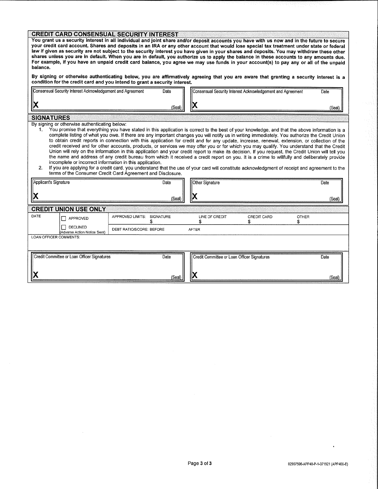## **CREDIT CARD CONSENSUAL SECURITY INTEREST**

You grant us a security interest in all individual and joint share and/or deposit accounts you have with us now and in the future to secure your credit card account. Shares and deposits in an IRA or any other account that would lose special tax treatment under state or federal law if given as security are not subject to the security interest you have given in your shares and deposits. You may withdraw these other shares unless you are in default. When you are in default, you authorize us to apply the balance in these accounts to any amounts due. For example, if you have an unpaid credit card balance, you agree we may use funds in your account(s) to pay any or all of the unpaid balance.

By signing or otherwise authenticating below, you are affirmatively agreeing that you are aware that granting a security interest is a condition for the credit card and you intend to grant a security interest.

| יש<br>(Seal) | Consensual Security Interest Acknowledgement and Agreement | Date | Consensual Security Interest Acknowledgement and Agreement | Date |        |
|--------------|------------------------------------------------------------|------|------------------------------------------------------------|------|--------|
|              | IN                                                         |      | ł۱                                                         |      | (Seal) |

By signing or otherwise authenticating below:

You promise that everything you have stated in this application is correct to the best of your knowledge, and that the above information is a  $1$ complete listing of what you owe. If there are any important changes you will notify us in writing immediately. You authorize the Credit Union to obtain credit reports in connection with this application for credit and for any update, increase, renewal, extension, or collection of the credit received and for other accounts, products, or services we may offer you or for which you may qualify. You understand that the Credit Union will rely on the information in this application and your credit report to make its decision. If you request, the Credit Union will tell you the name and address of any credit bureau from which it received a credit report on you. It is a crime to willfully and deliberately provide incomplete or incorrect information in this application.

 $2.$ If you are applying for a credit card, you understand that the use of your card will constitute acknowledgment of receipt and agreement to the terms of the Consumer Credit Card Agreement and Disclosure.

| Applicant's Signature  |                                               |                          | Date      | Other Signature                                   |                    |              | Date   |
|------------------------|-----------------------------------------------|--------------------------|-----------|---------------------------------------------------|--------------------|--------------|--------|
|                        |                                               |                          | (Seal)    | IX                                                |                    |              | (Seal) |
|                        | <b>CREDIT UNION USE ONLY</b>                  |                          |           |                                                   |                    |              |        |
| DATE                   | П<br>APPROVED                                 | APPROVED LIMITS:         | SIGNATURE | LINE OF CREDIT                                    | <b>CREDIT CARD</b> | <b>OTHER</b> |        |
|                        | П<br>DECLINED<br>(Adverse Action Notice Sent) | DEBT RATIO/SCORE: BEFORE |           | <b>AFTER</b>                                      |                    |              |        |
| LOAN OFFICER COMMENTS: |                                               |                          |           |                                                   |                    |              |        |
|                        | Credit Committee or Loan Officer Signatures   |                          | Date      | Credit Committee or Loan Officer Signatures<br>₩. |                    |              | Date   |
|                        |                                               |                          | (Seal)    |                                                   |                    |              | (Seal) |